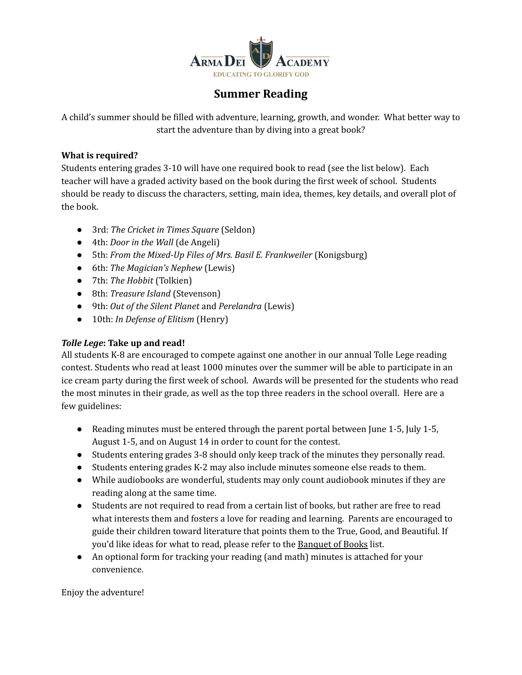

#### **Summer Reading**

A child's summer should be filled with adventure, learning, growth, and wonder. What better way to start the adventure than by diving into a great book?

#### **What is required?**

Students entering grades 3-10 will have one required book to read (see the list below). Each teacher will have a graded activity based on the book during the first week of school. Students should be ready to discuss the characters, setting, main idea, themes, key details, and overall plot of the book.

- 3rd: *The Cricket in Times [Square](https://www.amazon.com/Cricket-Times-Square-Chester-Friends/dp/0312380038)* (Seldon)
- 4th: *[Door](https://www.amazon.com/Door-Wall-Marguerite-Angeli/dp/0440227798) in the Wall* (de Angeli)
- 5th: *From the Mixed-Up Files of Mrs. Basil E. [Frankweiler](https://www.amazon.com/Mixed-Up-Files-Mrs-Basil-Frankweiler/dp/0689205864/ref=sr_1_1?keywords=mixed+up+files&qid=1556762978&s=books&sr=1-1)* (Konigsburg)
- 6th: *The [Magician's](https://www.amazon.com/Magicians-Nephew-C-S-Lewis/dp/0064405052/ref=sr_1_1?crid=3BI8TD8ASE68Q&keywords=The+Magician%E2%80%99s+Nephew&qid=1651250768&s=books&sprefix=the+magicians+nephew%2Cstripbooks%2C83&sr=1-1) Nephew* (Lewis)
- 7th: *The [Hobbit](https://www.amazon.com/Hobbit-Lord-Rings-J-R-R-Tolkien-ebook/dp/B0079KT81G/ref=sr_1_2?keywords=the+hobbit&qid=1556763140&s=books&sr=1-2)* (Tolkien)
- 8th: *[Treasure](https://www.amazon.com/Treasure-Island-Signet-Classics-Stevenson/dp/1101990325/ref=sr_1_5?crid=1ACMMA674BOOZ&keywords=treasure+island&qid=1652467233&sprefix=treasure+island%2Caps%2C139&sr=8-5) Island* (Stevenson)
- 9th: *Out of the Silent [Planet](https://www.amazon.com/s?k=out+of+the+silent+planet+c.s.+lewis&i=stripbooks&crid=3158E4SGAIIZZ&sprefix=out+of+the+silent+planet%2Cstripbooks%2C82&ref=nb_sb_ss_ts-doa-p_1_24)* and *[Perelandra](https://www.amazon.com/Perelandra-Space-Trilogy-Book-2/dp/074323491X/ref=sr_1_2?crid=1TQ91A8FLFXQH&keywords=perelandra+c.s.+lewis&qid=1651250714&s=books&sprefix=perelandra+c.s.+lewis%2Cstripbooks%2C72&sr=1-2)* (Lewis)
- 10th: *In [Defense](https://www.amazon.com/Defense-Elitism-William-Henry-III/dp/0385479433/ref=pd_lpo_1?pd_rd_i=0385479433&psc=1) of Elitism* (Henry)

#### *Tolle Lege***: Take up and read!**

All students K-8 are encouraged to compete against one another in our annual Tolle Lege reading contest. Students who read at least 1000 minutes over the summer will be able to participate in an ice cream party during the first week of school. Awards will be presented for the students who read the most minutes in their grade, as well as the top three readers in the school overall. Here are a few guidelines:

- Reading minutes must be entered through the parent portal between June 1-5, July 1-5, August 1-5, and on August 14 in order to count for the contest.
- Students entering grades 3-8 should only keep track of the minutes they personally read.
- Students entering grades K-2 may also include minutes someone else reads to them.
- While audiobooks are wonderful, students may only count audiobook minutes if they are reading along at the same time.
- Students are not required to read from a certain list of books, but rather are free to read what interests them and fosters a love for reading and learning. Parents are encouraged to guide their children toward literature that points them to the True, Good, and Beautiful. If you'd like ideas for what to read, please refer to the [Banquet](https://www.petraacademy.com/wp-content/uploads/2017/05/banquet_books.pdf) of Books list.
- An optional form for tracking your reading (and math) minutes is attached for your convenience.

Enjoy the adventure!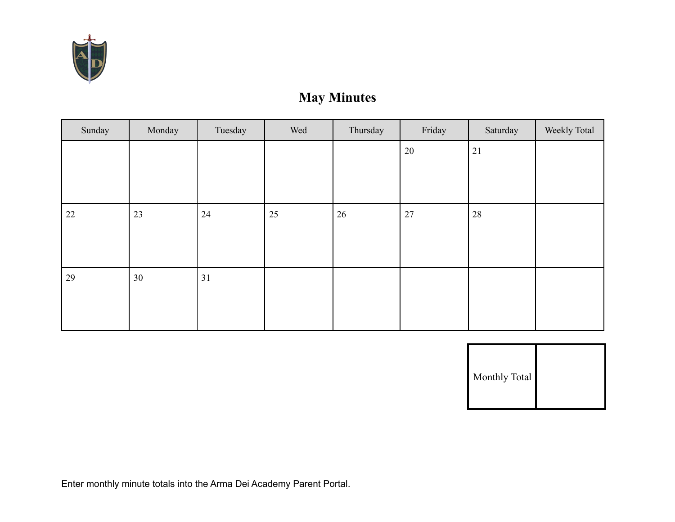

# **May Minutes**

| Sunday | Monday | Tuesday | Wed | Thursday | Friday | Saturday | Weekly Total |
|--------|--------|---------|-----|----------|--------|----------|--------------|
|        |        |         |     |          | $20\,$ | 21       |              |
|        |        |         |     |          |        |          |              |
|        |        |         |     |          |        |          |              |
| 22     | 23     | 24      | 25  | 26       | 27     | 28       |              |
|        |        |         |     |          |        |          |              |
|        |        |         |     |          |        |          |              |
| 29     | 30     | 31      |     |          |        |          |              |
|        |        |         |     |          |        |          |              |
|        |        |         |     |          |        |          |              |

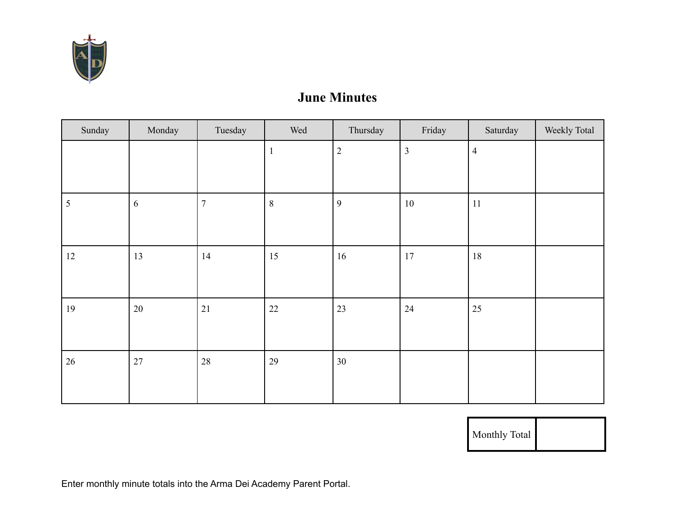

### **June Minutes**

| Sunday | Monday     | Tuesday          | Wed          | Thursday       | Friday         | Saturday       | Weekly Total |
|--------|------------|------------------|--------------|----------------|----------------|----------------|--------------|
|        |            |                  | $\mathbf{1}$ | $\sqrt{2}$     | $\mathfrak{Z}$ | $\overline{4}$ |              |
|        |            |                  |              |                |                |                |              |
| 5      | $\sqrt{6}$ | $\boldsymbol{7}$ | $\,8\,$      | $\overline{9}$ | $10\,$         | 11             |              |
|        |            |                  |              |                |                |                |              |
| $12\,$ | 13         | 14               | 15           | 16             | $17\,$         | $18\,$         |              |
|        |            |                  |              |                |                |                |              |
| 19     | $20\,$     | $21\,$           | 22           | 23             | 24             | 25             |              |
|        |            |                  |              |                |                |                |              |
| 26     | 27         | $28\,$           | 29           | 30             |                |                |              |
|        |            |                  |              |                |                |                |              |

Monthly Total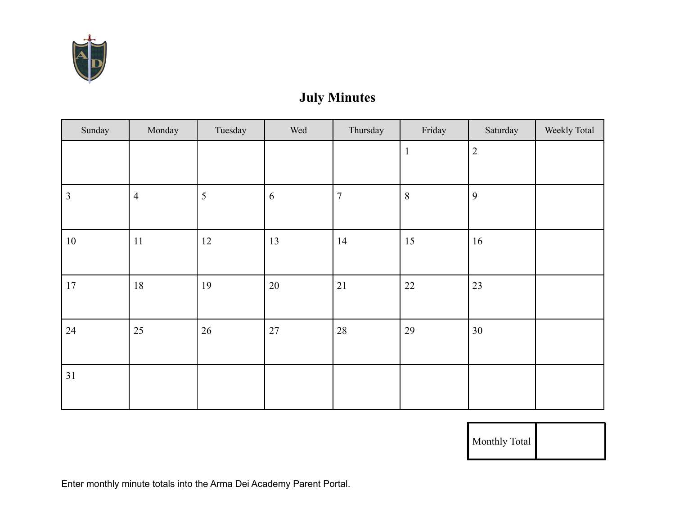

# **July Minutes**

| Sunday | Monday         | Tuesday | Wed        | Thursday       | Friday          | Saturday       | Weekly Total |
|--------|----------------|---------|------------|----------------|-----------------|----------------|--------------|
|        |                |         |            |                | $\mathbf{1}$    | $\overline{2}$ |              |
|        |                |         |            |                |                 |                |              |
| 3      | $\overline{4}$ | 5       | $\sqrt{6}$ | $\overline{7}$ | $8\phantom{.0}$ | 9              |              |
|        |                |         |            |                |                 |                |              |
| $10\,$ | 11             | 12      | 13         | 14             | 15              | 16             |              |
|        |                |         |            |                |                 |                |              |
| $17\,$ | 18             | 19      | 20         | 21             | $22\,$          | 23             |              |
|        |                |         |            |                |                 |                |              |
| 24     | 25             | 26      | $27\,$     | $28\,$         | 29              | 30             |              |
|        |                |         |            |                |                 |                |              |
| 31     |                |         |            |                |                 |                |              |
|        |                |         |            |                |                 |                |              |

Monthly Total